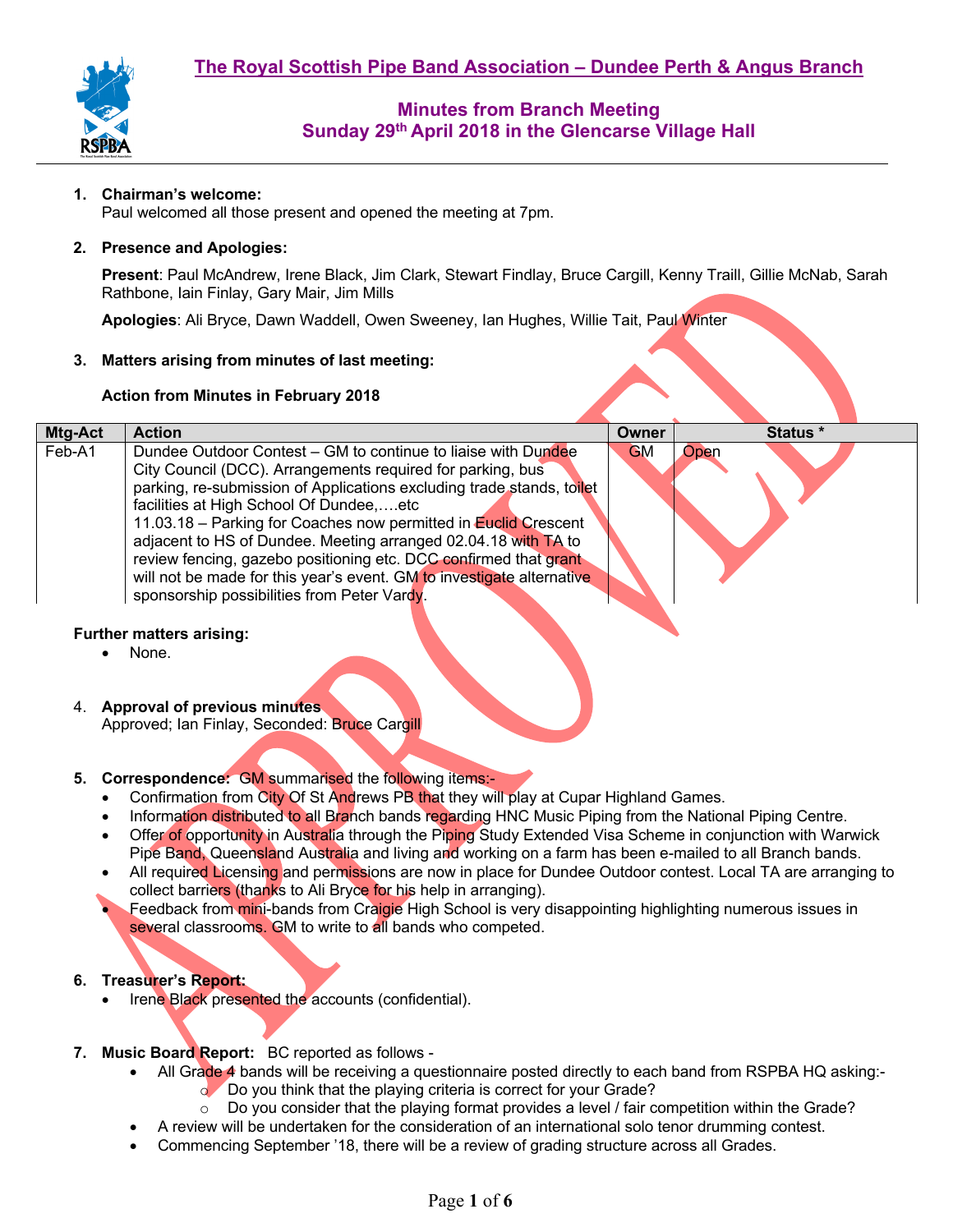

### **1. Chairman's welcome:**

Paul welcomed all those present and opened the meeting at 7pm.

#### **2. Presence and Apologies:**

**Present**: Paul McAndrew, Irene Black, Jim Clark, Stewart Findlay, Bruce Cargill, Kenny Traill, Gillie McNab, Sarah Rathbone, Iain Finlay, Gary Mair, Jim Mills

**Apologies**: Ali Bryce, Dawn Waddell, Owen Sweeney, Ian Hughes, Willie Tait, Paul Winter

#### **3. Matters arising from minutes of last meeting:**

#### **Action from Minutes in February 2018**

| <b>Mtg-Act</b> | <b>Action</b>                                                                                                                                                                                                                                                                                                                                                                                                                                                                                                                                                                    | Owner     | Status * |
|----------------|----------------------------------------------------------------------------------------------------------------------------------------------------------------------------------------------------------------------------------------------------------------------------------------------------------------------------------------------------------------------------------------------------------------------------------------------------------------------------------------------------------------------------------------------------------------------------------|-----------|----------|
| Feb-A1         | Dundee Outdoor Contest – GM to continue to liaise with Dundee<br>City Council (DCC). Arrangements required for parking, bus<br>parking, re-submission of Applications excluding trade stands, toilet<br>facilities at High School Of Dundee,etc<br>11.03.18 - Parking for Coaches now permitted in Euclid Crescent<br>adjacent to HS of Dundee. Meeting arranged 02.04.18 with TA to<br>review fencing, gazebo positioning etc. DCC confirmed that grant<br>will not be made for this year's event. GM to investigate alternative<br>sponsorship possibilities from Peter Vardy. | <b>GM</b> | Open     |

#### **Further matters arising:**

- None.
- 4. **Approval of previous minutes**

Approved; Ian Finlay, Seconded: Bruce Cargill

- **5. Correspondence:** GM summarised the following items:-
	- Confirmation from City Of St Andrews PB that they will play at Cupar Highland Games.
	- Information distributed to all Branch bands regarding HNC Music Piping from the National Piping Centre.
	- Offer of opportunity in Australia through the Piping Study Extended Visa Scheme in conjunction with Warwick Pipe Band, Queensland Australia and living and working on a farm has been e-mailed to all Branch bands.
	- All required Licensing and permissions are now in place for Dundee Outdoor contest. Local TA are arranging to collect barriers (thanks to Ali Bryce for his help in arranging).
	- Feedback from mini-bands from Craigie High School is very disappointing highlighting numerous issues in several classrooms. GM to write to all bands who competed.

### **6. Treasurer's Report:**

- Irene Black presented the accounts (confidential).
- **7. Music Board Report:** BC reported as follows
	- All Grade 4 bands will be receiving a questionnaire posted directly to each band from RSPBA HQ asking:-⊙ Do you think that the playing criteria is correct for your Grade?<br>○ Do you consider that the playing format provides a level / fair co
		- Do you consider that the playing format provides a level / fair competition within the Grade?
	- A review will be undertaken for the consideration of an international solo tenor drumming contest.
	- Commencing September '18, there will be a review of grading structure across all Grades.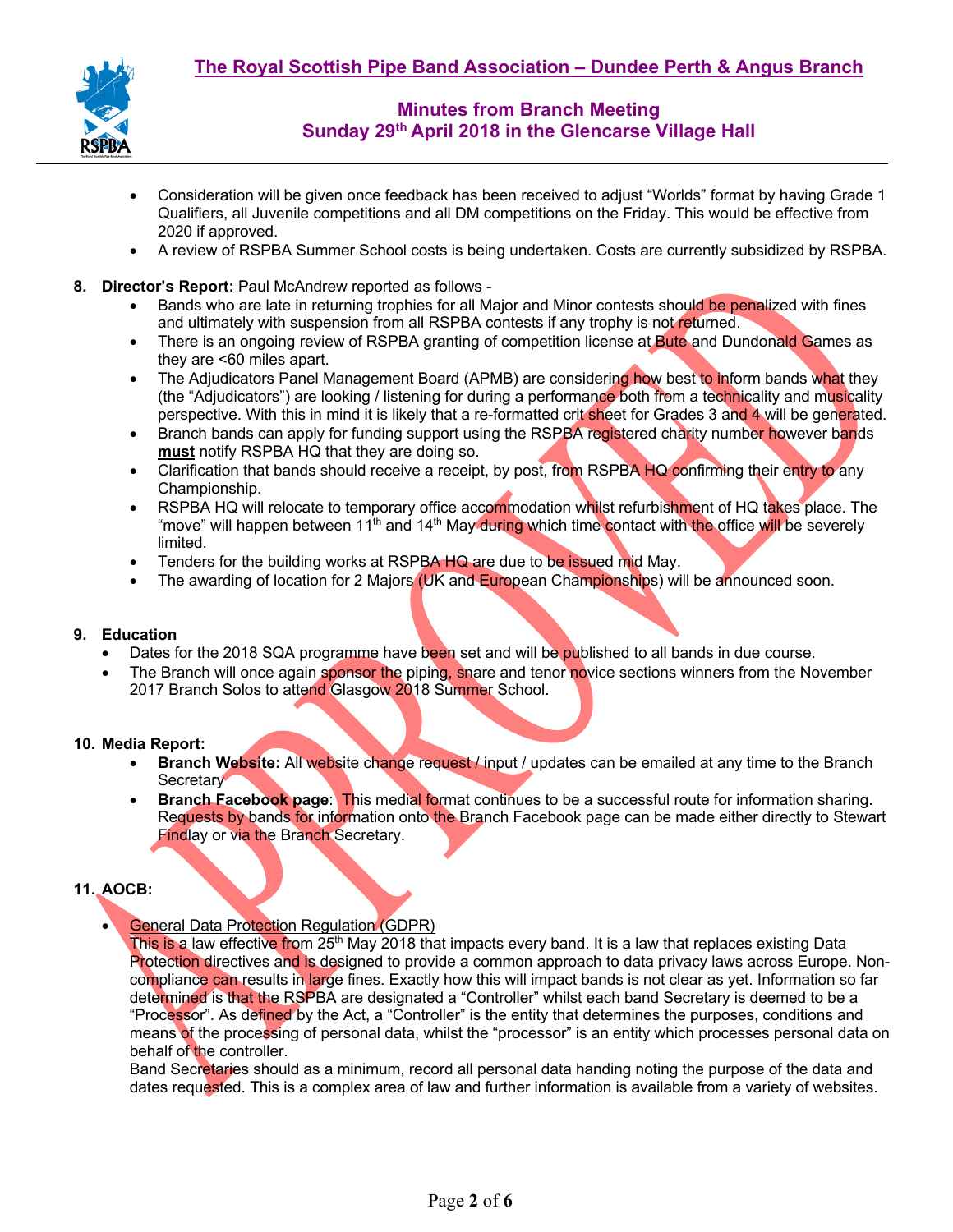

- Consideration will be given once feedback has been received to adjust "Worlds" format by having Grade 1 Qualifiers, all Juvenile competitions and all DM competitions on the Friday. This would be effective from 2020 if approved.
- A review of RSPBA Summer School costs is being undertaken. Costs are currently subsidized by RSPBA.
- **8. Director's Report:** Paul McAndrew reported as follows
	- Bands who are late in returning trophies for all Major and Minor contests should be penalized with fines and ultimately with suspension from all RSPBA contests if any trophy is not returned.
	- There is an ongoing review of RSPBA granting of competition license at Bute and Dundonald Games as they are <60 miles apart.
	- The Adjudicators Panel Management Board (APMB) are considering how best to inform bands what they (the "Adjudicators") are looking / listening for during a performance both from a technicality and musicality perspective. With this in mind it is likely that a re-formatted crit sheet for Grades 3 and 4 will be generated.
	- Branch bands can apply for funding support using the RSPBA registered charity number however bands **must** notify RSPBA HQ that they are doing so.
	- Clarification that bands should receive a receipt, by post, from RSPBA HQ confirming their entry to any Championship.
	- RSPBA HQ will relocate to temporary office accommodation whilst refurbishment of HQ takes place. The "move" will happen between 11<sup>th</sup> and 14<sup>th</sup> May during which time contact with the office will be severely limited.
	- Tenders for the building works at RSPBA HQ are due to be issued mid May.
	- The awarding of location for 2 Majors (UK and European Championships) will be announced soon.

#### **9. Education**

- Dates for the 2018 SQA programme have been set and will be published to all bands in due course.
- The Branch will once again sponsor the piping, snare and tenor novice sections winners from the November 2017 Branch Solos to attend Glasgow 2018 Summer School.

#### **10. Media Report:**

- **Branch Website:** All website change request / input / updates can be emailed at any time to the Branch Secretary
- **Branch Facebook page: This medial format continues to be a successful route for information sharing.** Requests by bands for information onto the Branch Facebook page can be made either directly to Stewart Findlay or via the Branch Secretary.

## **11. AOCB:**

• General Data Protection Regulation (GDPR)

This is a law effective from 25<sup>th</sup> May 2018 that impacts every band. It is a law that replaces existing Data Protection directives and is designed to provide a common approach to data privacy laws across Europe. Noncompliance can results in large fines. Exactly how this will impact bands is not clear as yet. Information so far determined is that the RSPBA are designated a "Controller" whilst each band Secretary is deemed to be a "Processor". As defined by the Act, a "Controller" is the entity that determines the purposes, conditions and means of the processing of personal data, whilst the "processor" is an entity which processes personal data on behalf of the controller.

Band Secretaries should as a minimum, record all personal data handing noting the purpose of the data and dates requested. This is a complex area of law and further information is available from a variety of websites.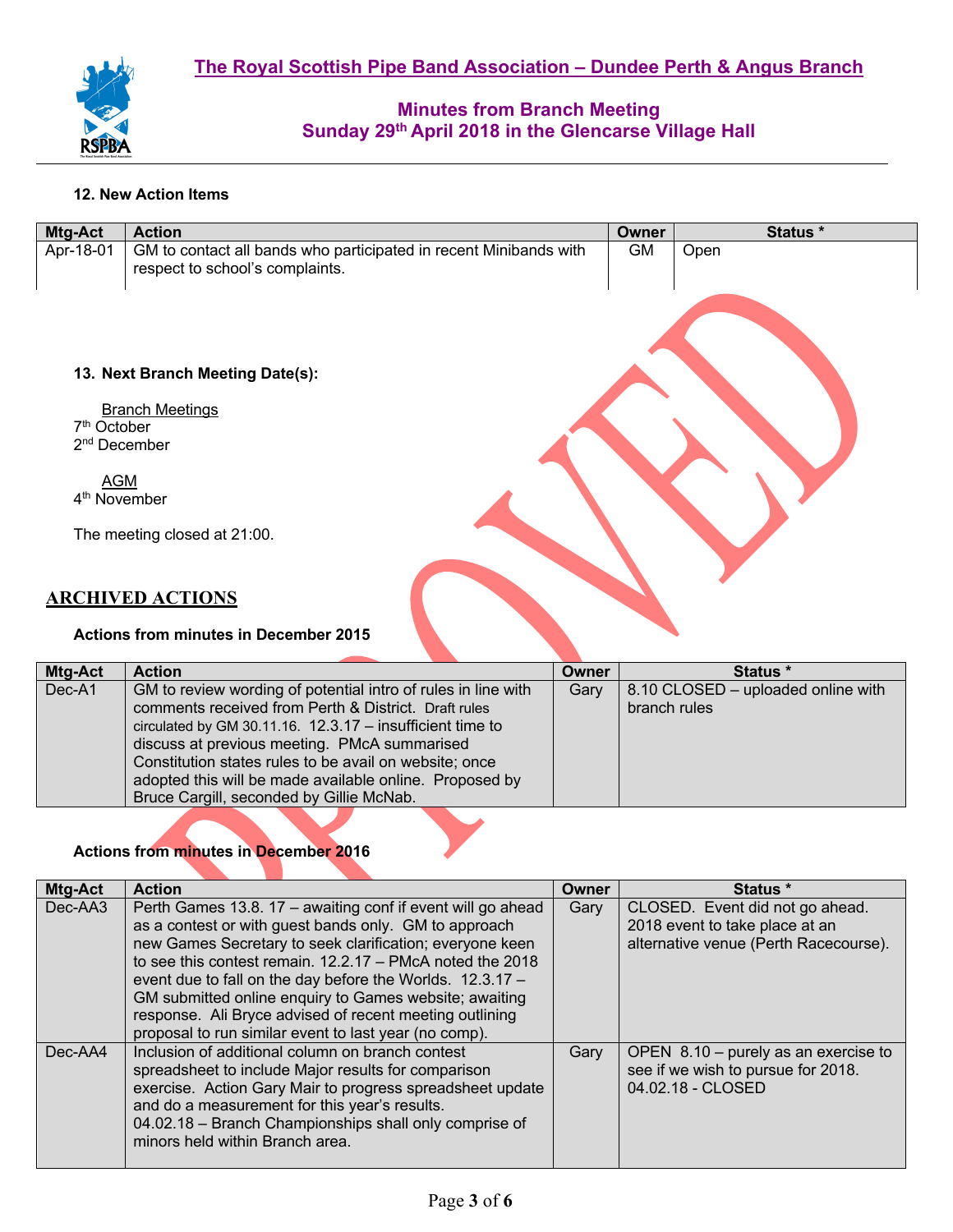

### **12. New Action Items**

| Mtg-Act                                             | <b>Action</b>                                                                                        | <b>Owner</b> | Status * |
|-----------------------------------------------------|------------------------------------------------------------------------------------------------------|--------------|----------|
| Apr-18-01                                           | GM to contact all bands who participated in recent Minibands with<br>respect to school's complaints. | <b>GM</b>    | Open     |
|                                                     | 13. Next Branch Meeting Date(s):                                                                     |              |          |
| 7 <sup>th</sup> October<br>2 <sup>nd</sup> December | <b>Branch Meetings</b>                                                                               |              |          |
| <b>AGM</b><br>4 <sup>th</sup> November              |                                                                                                      |              |          |
|                                                     | The meeting closed at 21:00.                                                                         |              |          |
|                                                     | <b>ARCHIVED ACTIONS</b>                                                                              |              |          |
|                                                     | <b>Actions from minutes in December 2015</b>                                                         |              |          |

| <b>Mtg-Act</b> | <b>Action</b>                                                 | <b>Owner</b> | Status *                           |
|----------------|---------------------------------------------------------------|--------------|------------------------------------|
| Dec-A1         | GM to review wording of potential intro of rules in line with | Gary         | 8.10 CLOSED - uploaded online with |
|                | comments received from Perth & District. Draft rules          |              | branch rules                       |
|                | circulated by GM 30.11.16. 12.3.17 - insufficient time to     |              |                                    |
|                | discuss at previous meeting. PMcA summarised                  |              |                                    |
|                | Constitution states rules to be avail on website; once        |              |                                    |
|                | adopted this will be made available online. Proposed by       |              |                                    |
|                | Bruce Cargill, seconded by Gillie McNab.                      |              |                                    |

# **Actions from minutes in December 2016**

| <b>Mtg-Act</b> | <b>Action</b>                                                                                                                                                                                                                                                                                                                                                                                                                                                                              | Owner | Status *                                                                                                   |
|----------------|--------------------------------------------------------------------------------------------------------------------------------------------------------------------------------------------------------------------------------------------------------------------------------------------------------------------------------------------------------------------------------------------------------------------------------------------------------------------------------------------|-------|------------------------------------------------------------------------------------------------------------|
| Dec-AA3        | Perth Games 13.8. 17 – awaiting conf if event will go ahead<br>as a contest or with guest bands only. GM to approach<br>new Games Secretary to seek clarification; everyone keen<br>to see this contest remain. $12.2.17 - PMcA$ noted the 2018<br>event due to fall on the day before the Worlds. 12.3.17 -<br>GM submitted online enquiry to Games website; awaiting<br>response. Ali Bryce advised of recent meeting outlining<br>proposal to run similar event to last year (no comp). | Gary  | CLOSED. Event did not go ahead.<br>2018 event to take place at an<br>alternative venue (Perth Racecourse). |
| $Dec$ -AA4     | Inclusion of additional column on branch contest<br>spreadsheet to include Major results for comparison<br>exercise. Action Gary Mair to progress spreadsheet update<br>and do a measurement for this year's results.<br>04.02.18 - Branch Championships shall only comprise of<br>minors held within Branch area.                                                                                                                                                                         | Gary  | OPEN $8.10 -$ purely as an exercise to<br>see if we wish to pursue for 2018.<br>04.02.18 - CLOSED          |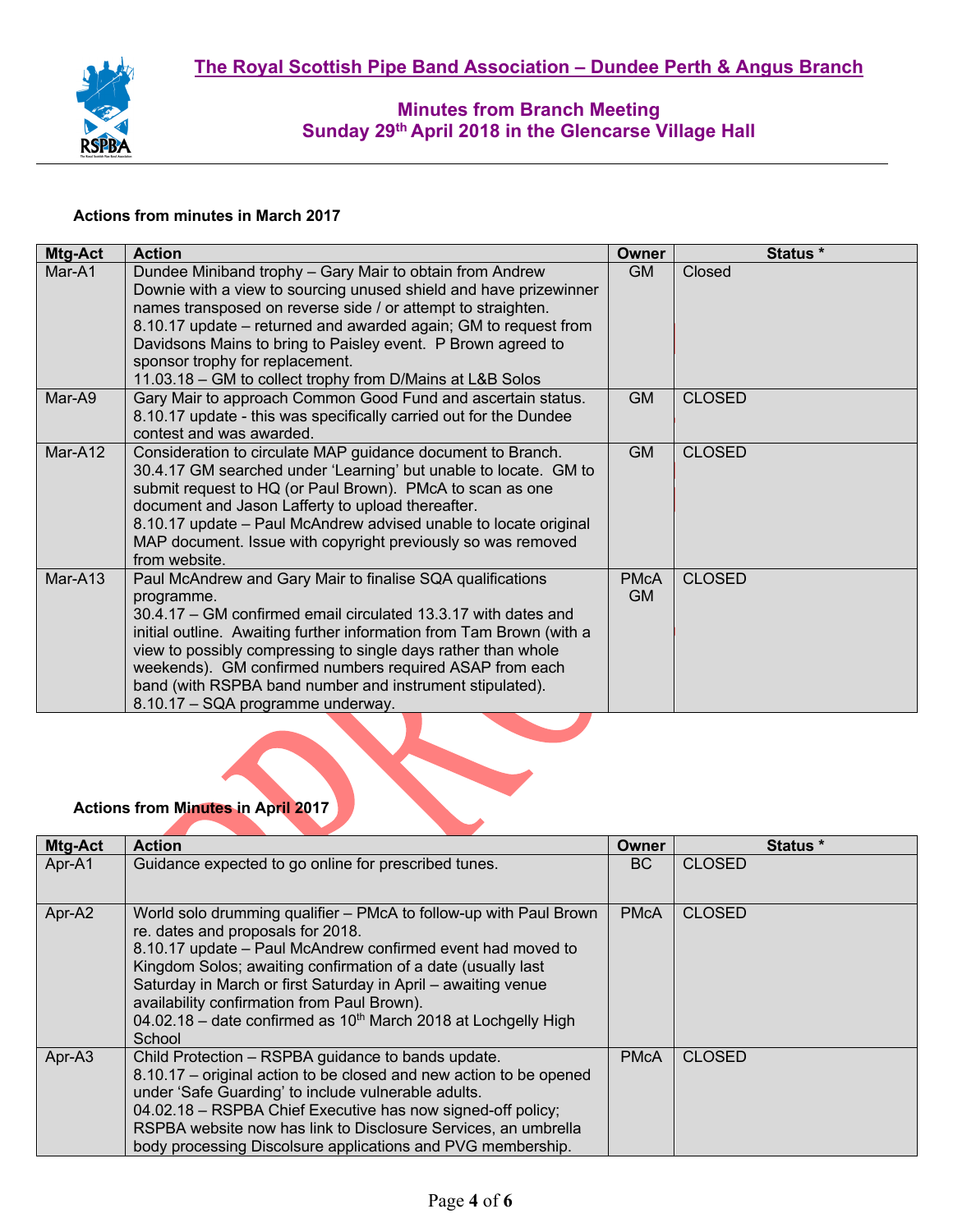

#### **Actions from minutes in March 2017**

| Mtg-Act | <b>Action</b>                                                                                                                                                                                                                                                                                                                                                                                                                                   | Owner                    | Status *      |
|---------|-------------------------------------------------------------------------------------------------------------------------------------------------------------------------------------------------------------------------------------------------------------------------------------------------------------------------------------------------------------------------------------------------------------------------------------------------|--------------------------|---------------|
| Mar-A1  | Dundee Miniband trophy - Gary Mair to obtain from Andrew<br>Downie with a view to sourcing unused shield and have prizewinner<br>names transposed on reverse side / or attempt to straighten.<br>8.10.17 update – returned and awarded again; GM to request from<br>Davidsons Mains to bring to Paisley event. P Brown agreed to<br>sponsor trophy for replacement.<br>11.03.18 - GM to collect trophy from D/Mains at L&B Solos                | <b>GM</b>                | Closed        |
| Mar-A9  | Gary Mair to approach Common Good Fund and ascertain status.<br>8.10.17 update - this was specifically carried out for the Dundee<br>contest and was awarded.                                                                                                                                                                                                                                                                                   | <b>GM</b>                | <b>CLOSED</b> |
| Mar-A12 | Consideration to circulate MAP guidance document to Branch.<br>30.4.17 GM searched under 'Learning' but unable to locate. GM to<br>submit request to HQ (or Paul Brown). PMcA to scan as one<br>document and Jason Lafferty to upload thereafter.<br>8.10.17 update - Paul McAndrew advised unable to locate original<br>MAP document. Issue with copyright previously so was removed<br>from website.                                          | <b>GM</b>                | <b>CLOSED</b> |
| Mar-A13 | Paul McAndrew and Gary Mair to finalise SQA qualifications<br>programme.<br>30.4.17 - GM confirmed email circulated 13.3.17 with dates and<br>initial outline. Awaiting further information from Tam Brown (with a<br>view to possibly compressing to single days rather than whole<br>weekends). GM confirmed numbers required ASAP from each<br>band (with RSPBA band number and instrument stipulated).<br>8.10.17 - SQA programme underway. | <b>PMcA</b><br><b>GM</b> | <b>CLOSED</b> |

# **Actions from Minutes in April 2017**

| <b>Mtg-Act</b> | <b>Action</b>                                                                                                                 | Owner       | Status *      |
|----------------|-------------------------------------------------------------------------------------------------------------------------------|-------------|---------------|
| Apr-A1         | Guidance expected to go online for prescribed tunes.                                                                          | BC.         | <b>CLOSED</b> |
|                |                                                                                                                               |             |               |
| Apr-A2         | World solo drumming qualifier – PMcA to follow-up with Paul Brown<br>re. dates and proposals for 2018.                        | <b>PMcA</b> | <b>CLOSED</b> |
|                | 8.10.17 update – Paul McAndrew confirmed event had moved to                                                                   |             |               |
|                | Kingdom Solos; awaiting confirmation of a date (usually last<br>Saturday in March or first Saturday in April – awaiting venue |             |               |
|                | availability confirmation from Paul Brown).                                                                                   |             |               |
|                | 04.02.18 - date confirmed as 10 <sup>th</sup> March 2018 at Lochgelly High<br>School                                          |             |               |
| Apr-A3         | Child Protection - RSPBA guidance to bands update.                                                                            | <b>PMcA</b> | <b>CLOSED</b> |
|                | 8.10.17 – original action to be closed and new action to be opened                                                            |             |               |
|                | under 'Safe Guarding' to include vulnerable adults.                                                                           |             |               |
|                | 04.02.18 - RSPBA Chief Executive has now signed-off policy;                                                                   |             |               |
|                | RSPBA website now has link to Disclosure Services, an umbrella                                                                |             |               |
|                | body processing Discolsure applications and PVG membership.                                                                   |             |               |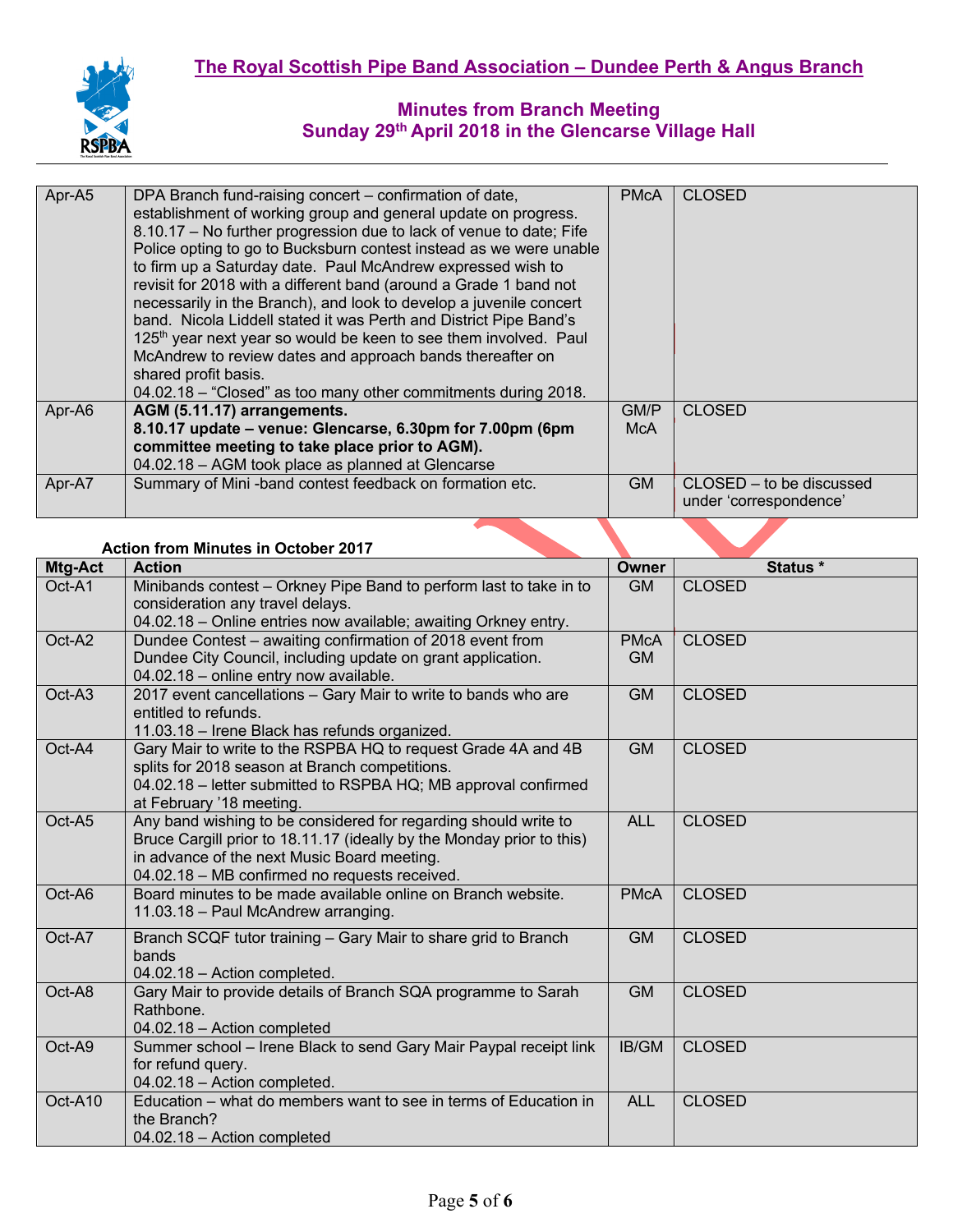

| Apr-A5<br><b>CLOSED</b><br>DPA Branch fund-raising concert – confirmation of date,<br><b>PMcA</b><br>establishment of working group and general update on progress.<br>8.10.17 - No further progression due to lack of venue to date; Fife |
|--------------------------------------------------------------------------------------------------------------------------------------------------------------------------------------------------------------------------------------------|
|                                                                                                                                                                                                                                            |
|                                                                                                                                                                                                                                            |
|                                                                                                                                                                                                                                            |
| Police opting to go to Bucksburn contest instead as we were unable                                                                                                                                                                         |
| to firm up a Saturday date. Paul McAndrew expressed wish to                                                                                                                                                                                |
| revisit for 2018 with a different band (around a Grade 1 band not                                                                                                                                                                          |
| necessarily in the Branch), and look to develop a juvenile concert                                                                                                                                                                         |
| band. Nicola Liddell stated it was Perth and District Pipe Band's                                                                                                                                                                          |
| 125 <sup>th</sup> year next year so would be keen to see them involved. Paul                                                                                                                                                               |
| McAndrew to review dates and approach bands thereafter on                                                                                                                                                                                  |
| shared profit basis.                                                                                                                                                                                                                       |
| 04.02.18 – "Closed" as too many other commitments during 2018.                                                                                                                                                                             |
| AGM (5.11.17) arrangements.<br>Apr-A6<br>GM/P<br><b>CLOSED</b>                                                                                                                                                                             |
| 8.10.17 update - venue: Glencarse, 6.30pm for 7.00pm (6pm<br><b>McA</b>                                                                                                                                                                    |
| committee meeting to take place prior to AGM).                                                                                                                                                                                             |
| 04.02.18 - AGM took place as planned at Glencarse                                                                                                                                                                                          |
| Summary of Mini-band contest feedback on formation etc.<br><b>GM</b><br>Apr-A7<br>CLOSED – to be discussed                                                                                                                                 |
| under 'correspondence'                                                                                                                                                                                                                     |

### **Action from Minutes in October 2017**

| Mtg-Act | <b>Action</b>                                                                                                                                                                                                                            | Owner                    | Status *      |
|---------|------------------------------------------------------------------------------------------------------------------------------------------------------------------------------------------------------------------------------------------|--------------------------|---------------|
| Oct-A1  | Minibands contest - Orkney Pipe Band to perform last to take in to<br>consideration any travel delays.<br>04.02.18 - Online entries now available; awaiting Orkney entry.                                                                | <b>GM</b>                | <b>CLOSED</b> |
| Oct-A2  | Dundee Contest - awaiting confirmation of 2018 event from<br>Dundee City Council, including update on grant application.<br>04.02.18 - online entry now available.                                                                       | <b>PMcA</b><br><b>GM</b> | <b>CLOSED</b> |
| Oct-A3  | 2017 event cancellations - Gary Mair to write to bands who are<br>entitled to refunds.<br>11.03.18 - Irene Black has refunds organized.                                                                                                  | <b>GM</b>                | <b>CLOSED</b> |
| Oct-A4  | Gary Mair to write to the RSPBA HQ to request Grade 4A and 4B<br>splits for 2018 season at Branch competitions.<br>04.02.18 - letter submitted to RSPBA HQ; MB approval confirmed<br>at February '18 meeting.                            | <b>GM</b>                | <b>CLOSED</b> |
| Oct-A5  | Any band wishing to be considered for regarding should write to<br>Bruce Cargill prior to 18.11.17 (ideally by the Monday prior to this)<br>in advance of the next Music Board meeting.<br>04.02.18 - MB confirmed no requests received. | <b>ALL</b>               | <b>CLOSED</b> |
| Oct-A6  | Board minutes to be made available online on Branch website.<br>11.03.18 - Paul McAndrew arranging.                                                                                                                                      | <b>PMcA</b>              | <b>CLOSED</b> |
| Oct-A7  | Branch SCQF tutor training - Gary Mair to share grid to Branch<br>bands<br>04.02.18 - Action completed.                                                                                                                                  | <b>GM</b>                | <b>CLOSED</b> |
| Oct-A8  | Gary Mair to provide details of Branch SQA programme to Sarah<br>Rathbone.<br>04.02.18 - Action completed                                                                                                                                | <b>GM</b>                | <b>CLOSED</b> |
| Oct-A9  | Summer school - Irene Black to send Gary Mair Paypal receipt link<br>for refund query.<br>04.02.18 - Action completed.                                                                                                                   | IB/GM                    | <b>CLOSED</b> |
| Oct-A10 | Education – what do members want to see in terms of Education in<br>the Branch?<br>04.02.18 - Action completed                                                                                                                           | <b>ALL</b>               | <b>CLOSED</b> |